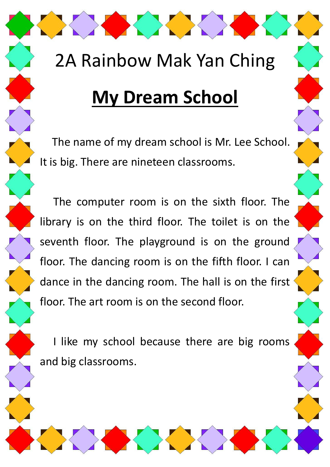# 2A Rainbow Mak Yan Ching

OK XXXXXXX

### **My Dream School**

 The name of my dream school is Mr. Lee School. It is big. There are nineteen classrooms.

The computer room is on the sixth floor. The library is on the third floor. The toilet is on the seventh floor. The playground is on the ground floor. The dancing room is on the fifth floor. I can dance in the dancing room. The hall is on the first floor. The art room is on the second floor.

I like my school because there are big rooms and big classrooms.

X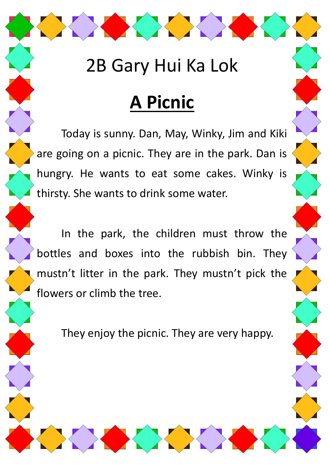#### 2B Gary Hui Ka Lok

OK XXX

# **A Picnic**

Today is sunny. Dan, May, Winky, Jim and Kiki are going on a picnic. They are in the park. Dan is hungry. He wants to eat some cakes. Winky is thirsty. She wants to drink some water.

In the park, the children must throw the bottles and boxes into the rubbish bin. They mustn't litter in the park. They mustn't pick the flowers or climb the tree.

They enjoy the picnic. They are very happy.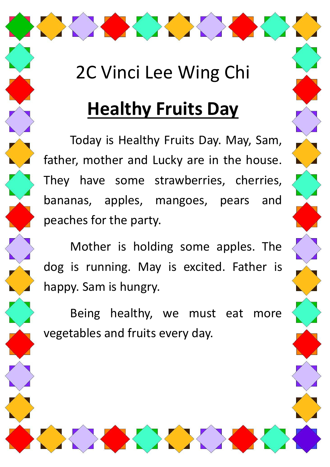### 2C Vinci Lee Wing Chi

XXXX

# **Healthy Fruits Day**

Today is Healthy Fruits Day. May, Sam, father, mother and Lucky are in the house. They have some strawberries, cherries, bananas, apples, mangoes, pears and peaches for the party.

Mother is holding some apples. The dog is running. May is excited. Father is happy. Sam is hungry.

Being healthy, we must eat more vegetables and fruits every day.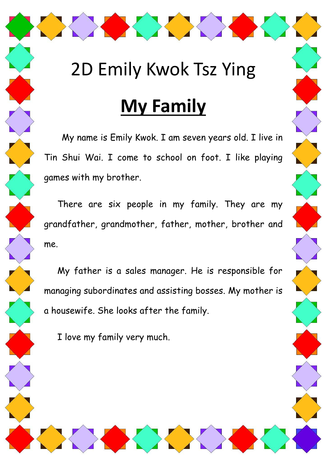#### 2D Emily Kwok Tsz Ying

XXXX

# **My Family**

My name is Emily Kwok. I am seven years old. I live in Tin Shui Wai. I come to school on foot. I like playing games with my brother.

There are six people in my family. They are my grandfather, grandmother, father, mother, brother and me.

My father is a sales manager. He is responsible for managing subordinates and assisting bosses. My mother is a housewife. She looks after the family.

I love my family very much.